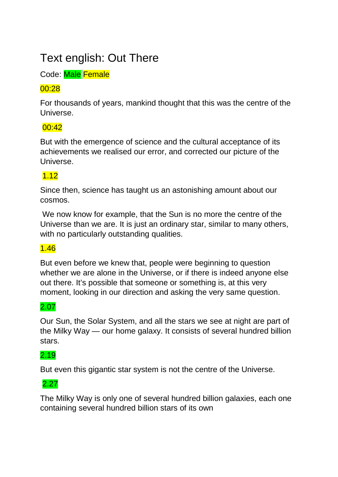# Text english: Out There

Code: Male Female

# 00:28

For thousands of years, mankind thought that this was the centre of the Universe.

# $00:42$

But with the emergence of science and the cultural acceptance of its achievements we realised our error, and corrected our picture of the Universe.

# 1.12

Since then, science has taught us an astonishing amount about our cosmos.

We now know for example, that the Sun is no more the centre of the Universe than we are. It is just an ordinary star, similar to many others, with no particularly outstanding qualities.

# 1.46

But even before we knew that, people were beginning to question whether we are alone in the Universe, or if there is indeed anyone else out there. It's possible that someone or something is, at this very moment, looking in our direction and asking the very same question.

# 2.07

Our Sun, the Solar System, and all the stars we see at night are part of the Milky Way — our home galaxy. It consists of several hundred billion stars.

# 2.19

But even this gigantic star system is not the centre of the Universe.

2.27

The Milky Way is only one of several hundred billion galaxies, each one containing several hundred billion stars of its own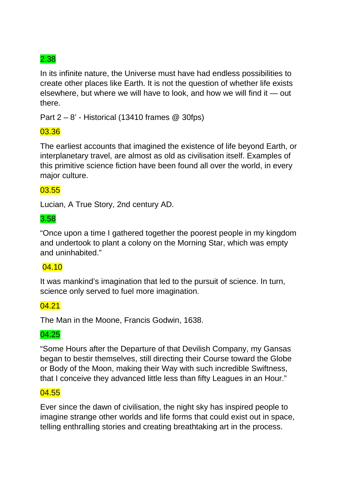In its infinite nature, the Universe must have had endless possibilities to create other places like Earth. It is not the question of whether life exists elsewhere, but where we will have to look, and how we will find it — out there.

Part 2 – 8' - Historical (13410 frames @ 30fps)

# 03.36

The earliest accounts that imagined the existence of life beyond Earth, or interplanetary travel, are almost as old as civilisation itself. Examples of this primitive science fiction have been found all over the world, in every major culture.

# 03.55

Lucian, A True Story, 2nd century AD.

# 3.58

"Once upon a time I gathered together the poorest people in my kingdom and undertook to plant a colony on the Morning Star, which was empty and uninhabited."

#### 04.10

It was mankind's imagination that led to the pursuit of science. In turn, science only served to fuel more imagination.

### 04.21

The Man in the Moone, Francis Godwin, 1638.

#### 04.25

"Some Hours after the Departure of that Devilish Company, my Gansas began to bestir themselves, still directing their Course toward the Globe or Body of the Moon, making their Way with such incredible Swiftness, that I conceive they advanced little less than fifty Leagues in an Hour."

#### 04.55

Ever since the dawn of civilisation, the night sky has inspired people to imagine strange other worlds and life forms that could exist out in space, telling enthralling stories and creating breathtaking art in the process.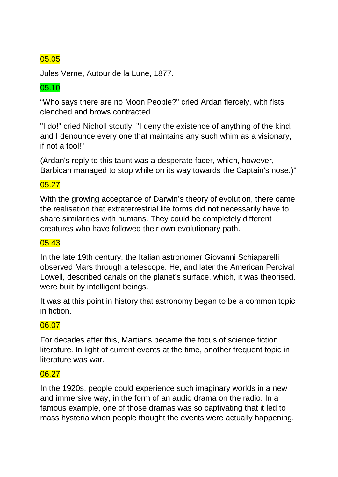Jules Verne, Autour de la Lune, 1877.

### 05.10

"Who says there are no Moon People?" cried Ardan fiercely, with fists clenched and brows contracted.

"I do!" cried Nicholl stoutly; "I deny the existence of anything of the kind, and I denounce every one that maintains any such whim as a visionary, if not a fool!"

(Ardan's reply to this taunt was a desperate facer, which, however, Barbican managed to stop while on its way towards the Captain's nose.)"

### 05.27

With the growing acceptance of Darwin's theory of evolution, there came the realisation that extraterrestrial life forms did not necessarily have to share similarities with humans. They could be completely different creatures who have followed their own evolutionary path.

#### 05.43

In the late 19th century, the Italian astronomer Giovanni Schiaparelli observed Mars through a telescope. He, and later the American Percival Lowell, described canals on the planet's surface, which, it was theorised, were built by intelligent beings.

It was at this point in history that astronomy began to be a common topic in fiction.

### 06.07

For decades after this, Martians became the focus of science fiction literature. In light of current events at the time, another frequent topic in literature was war.

### 06.27

In the 1920s, people could experience such imaginary worlds in a new and immersive way, in the form of an audio drama on the radio. In a famous example, one of those dramas was so captivating that it led to mass hysteria when people thought the events were actually happening.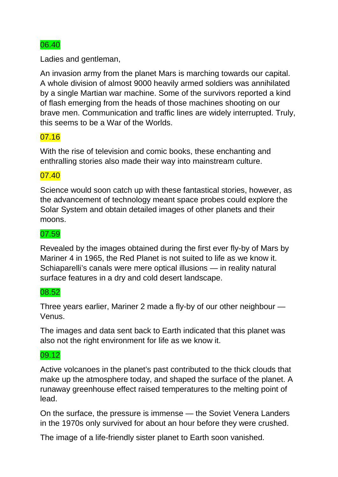Ladies and gentleman,

An invasion army from the planet Mars is marching towards our capital. A whole division of almost 9000 heavily armed soldiers was annihilated by a single Martian war machine. Some of the survivors reported a kind of flash emerging from the heads of those machines shooting on our brave men. Communication and traffic lines are widely interrupted. Truly, this seems to be a War of the Worlds.

### 07.16

With the rise of television and comic books, these enchanting and enthralling stories also made their way into mainstream culture.

### 07.40

Science would soon catch up with these fantastical stories, however, as the advancement of technology meant space probes could explore the Solar System and obtain detailed images of other planets and their moons.

#### 07.59

Revealed by the images obtained during the first ever fly-by of Mars by Mariner 4 in 1965, the Red Planet is not suited to life as we know it. Schiaparelli's canals were mere optical illusions — in reality natural surface features in a dry and cold desert landscape.

#### 08.52

Three years earlier, Mariner 2 made a fly-by of our other neighbour — Venus.

The images and data sent back to Earth indicated that this planet was also not the right environment for life as we know it.

### 09.12

Active volcanoes in the planet's past contributed to the thick clouds that make up the atmosphere today, and shaped the surface of the planet. A runaway greenhouse effect raised temperatures to the melting point of lead.

On the surface, the pressure is immense — the Soviet Venera Landers in the 1970s only survived for about an hour before they were crushed.

The image of a life-friendly sister planet to Earth soon vanished.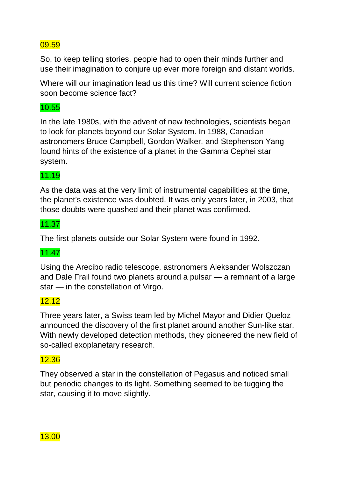So, to keep telling stories, people had to open their minds further and use their imagination to conjure up ever more foreign and distant worlds.

Where will our imagination lead us this time? Will current science fiction soon become science fact?

#### 10.55

In the late 1980s, with the advent of new technologies, scientists began to look for planets beyond our Solar System. In 1988, Canadian astronomers Bruce Campbell, Gordon Walker, and Stephenson Yang found hints of the existence of a planet in the Gamma Cephei star system.

#### 11.19

As the data was at the very limit of instrumental capabilities at the time, the planet's existence was doubted. It was only years later, in 2003, that those doubts were quashed and their planet was confirmed.

#### 11.37

The first planets outside our Solar System were found in 1992.

### 11.47

Using the Arecibo radio telescope, astronomers Aleksander Wolszczan and Dale Frail found two planets around a pulsar — a remnant of a large star — in the constellation of Virgo.

### 12.12

Three years later, a Swiss team led by Michel Mayor and Didier Queloz announced the discovery of the first planet around another Sun-like star. With newly developed detection methods, they pioneered the new field of so-called exoplanetary research.

### 12.36

They observed a star in the constellation of Pegasus and noticed small but periodic changes to its light. Something seemed to be tugging the star, causing it to move slightly.

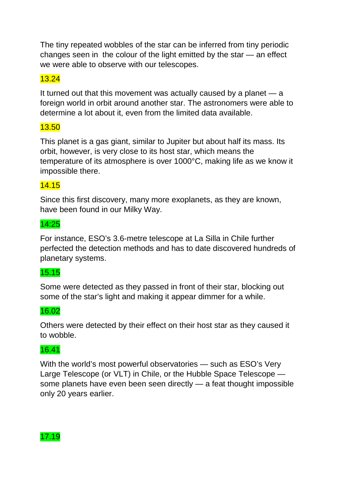The tiny repeated wobbles of the star can be inferred from tiny periodic changes seen in the colour of the light emitted by the star — an effect we were able to observe with our telescopes.

# 13.24

It turned out that this movement was actually caused by a planet — a foreign world in orbit around another star. The astronomers were able to determine a lot about it, even from the limited data available.

# 13.50

This planet is a gas giant, similar to Jupiter but about half its mass. Its orbit, however, is very close to its host star, which means the temperature of its atmosphere is over 1000°C, making life as we know it impossible there.

### 14.15

Since this first discovery, many more exoplanets, as they are known, have been found in our Milky Way.

#### 14:25

For instance, ESO's 3.6-metre telescope at La Silla in Chile further perfected the detection methods and has to date discovered hundreds of planetary systems.

# 15.15

Some were detected as they passed in front of their star, blocking out some of the star's light and making it appear dimmer for a while.

### 16.02

Others were detected by their effect on their host star as they caused it to wobble.

# 16.41

With the world's most powerful observatories — such as ESO's Very Large Telescope (or VLT) in Chile, or the Hubble Space Telescope some planets have even been seen directly — a feat thought impossible only 20 years earlier.

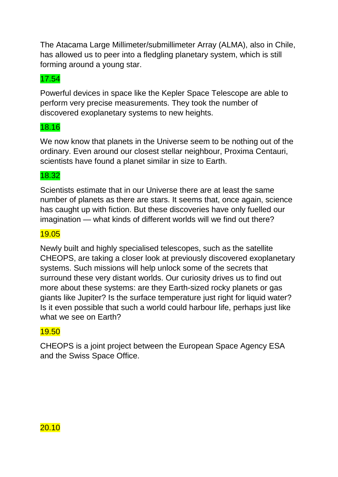The Atacama Large Millimeter/submillimeter Array (ALMA), also in Chile, has allowed us to peer into a fledgling planetary system, which is still forming around a young star.

# 17.54

Powerful devices in space like the Kepler Space Telescope are able to perform very precise measurements. They took the number of discovered exoplanetary systems to new heights.

# 18.16

We now know that planets in the Universe seem to be nothing out of the ordinary. Even around our closest stellar neighbour, Proxima Centauri, scientists have found a planet similar in size to Earth.

# 18.32

Scientists estimate that in our Universe there are at least the same number of planets as there are stars. It seems that, once again, science has caught up with fiction. But these discoveries have only fuelled our imagination — what kinds of different worlds will we find out there?

#### 19.05

Newly built and highly specialised telescopes, such as the satellite CHEOPS, are taking a closer look at previously discovered exoplanetary systems. Such missions will help unlock some of the secrets that surround these very distant worlds. Our curiosity drives us to find out more about these systems: are they Earth-sized rocky planets or gas giants like Jupiter? Is the surface temperature just right for liquid water? Is it even possible that such a world could harbour life, perhaps just like what we see on Earth?

### 19.50

CHEOPS is a joint project between the European Space Agency ESA and the Swiss Space Office.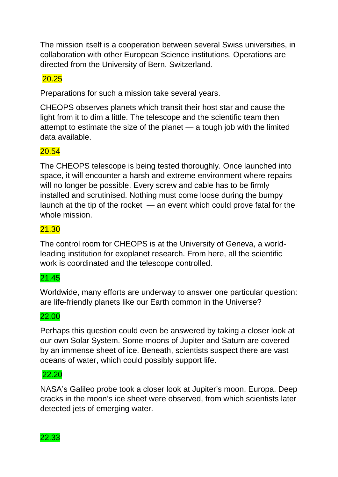The mission itself is a cooperation between several Swiss universities, in collaboration with other European Science institutions. Operations are directed from the University of Bern, Switzerland.

# 20.25

Preparations for such a mission take several years.

CHEOPS observes planets which transit their host star and cause the light from it to dim a little. The telescope and the scientific team then attempt to estimate the size of the planet — a tough job with the limited data available.

# 20.54

The CHEOPS telescope is being tested thoroughly. Once launched into space, it will encounter a harsh and extreme environment where repairs will no longer be possible. Every screw and cable has to be firmly installed and scrutinised. Nothing must come loose during the bumpy launch at the tip of the rocket — an event which could prove fatal for the whole mission.

# 21.30

The control room for CHEOPS is at the University of Geneva, a worldleading institution for exoplanet research. From here, all the scientific work is coordinated and the telescope controlled.

# 21.45

Worldwide, many efforts are underway to answer one particular question: are life-friendly planets like our Earth common in the Universe?

### 22.00

Perhaps this question could even be answered by taking a closer look at our own Solar System. Some moons of Jupiter and Saturn are covered by an immense sheet of ice. Beneath, scientists suspect there are vast oceans of water, which could possibly support life.

#### 22.20

NASA's Galileo probe took a closer look at Jupiter's moon, Europa. Deep cracks in the moon's ice sheet were observed, from which scientists later detected jets of emerging water.

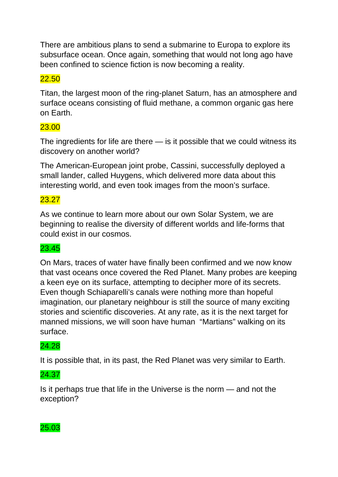There are ambitious plans to send a submarine to Europa to explore its subsurface ocean. Once again, something that would not long ago have been confined to science fiction is now becoming a reality.

# 22.50

Titan, the largest moon of the ring-planet Saturn, has an atmosphere and surface oceans consisting of fluid methane, a common organic gas here on Earth.

# 23.00

The ingredients for life are there — is it possible that we could witness its discovery on another world?

The American-European joint probe, Cassini, successfully deployed a small lander, called Huygens, which delivered more data about this interesting world, and even took images from the moon's surface.

# 23.27

As we continue to learn more about our own Solar System, we are beginning to realise the diversity of different worlds and life-forms that could exist in our cosmos.

# 23.45

On Mars, traces of water have finally been confirmed and we now know that vast oceans once covered the Red Planet. Many probes are keeping a keen eye on its surface, attempting to decipher more of its secrets. Even though Schiaparelli's canals were nothing more than hopeful imagination, our planetary neighbour is still the source of many exciting stories and scientific discoveries. At any rate, as it is the next target for manned missions, we will soon have human "Martians" walking on its surface.

### 24.28

It is possible that, in its past, the Red Planet was very similar to Earth.

# 24.37

Is it perhaps true that life in the Universe is the norm — and not the exception?

### 25.03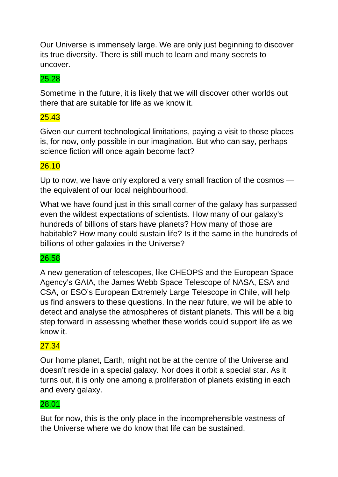Our Universe is immensely large. We are only just beginning to discover its true diversity. There is still much to learn and many secrets to uncover.

# 25.28

Sometime in the future, it is likely that we will discover other worlds out there that are suitable for life as we know it.

# 25.43

Given our current technological limitations, paying a visit to those places is, for now, only possible in our imagination. But who can say, perhaps science fiction will once again become fact?

### 26.10

Up to now, we have only explored a very small fraction of the cosmos the equivalent of our local neighbourhood.

What we have found just in this small corner of the galaxy has surpassed even the wildest expectations of scientists. How many of our galaxy's hundreds of billions of stars have planets? How many of those are habitable? How many could sustain life? Is it the same in the hundreds of billions of other galaxies in the Universe?

# 26.58

A new generation of telescopes, like CHEOPS and the European Space Agency's GAIA, the James Webb Space Telescope of NASA, ESA and CSA, or ESO's European Extremely Large Telescope in Chile, will help us find answers to these questions. In the near future, we will be able to detect and analyse the atmospheres of distant planets. This will be a big step forward in assessing whether these worlds could support life as we know it.

### 27.34

Our home planet, Earth, might not be at the centre of the Universe and doesn't reside in a special galaxy. Nor does it orbit a special star. As it turns out, it is only one among a proliferation of planets existing in each and every galaxy.

### 28.01

But for now, this is the only place in the incomprehensible vastness of the Universe where we do know that life can be sustained.